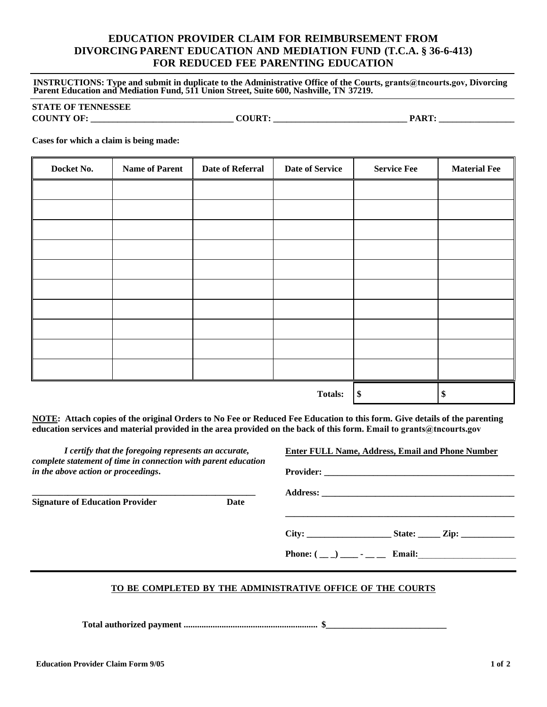## **EDUCATION PROVIDER CLAIM FOR REIMBURSEMENT FROM DIVORCING PARENT EDUCATION AND MEDIATION FUND (T.C.A. § 36-6-413) FOR REDUCED FEE PARENTING EDUCATION**

**INSTRUCTIONS: Type and submit in duplicate to the Administrative Office of the Courts, grants@tncourts.gov, Divorcing Parent Education and Mediation Fund, 511 Union Street, Suite 600, Nashville, TN 37219.** 

## **STATE OF TENNESSEE**

**COUNTY OF: \_\_\_\_\_\_\_\_\_\_\_\_\_\_\_\_\_\_\_\_\_\_\_\_\_\_\_\_\_\_\_\_ COURT: \_\_\_\_\_\_\_\_\_\_\_\_\_\_\_\_\_\_\_\_\_\_\_\_\_\_\_\_\_\_ PART: \_\_\_\_\_\_\_\_\_\_\_\_\_\_\_\_\_\_\_** 

**Cases for which a claim is being made:** 

| Docket No.     | <b>Name of Parent</b> | <b>Date of Referral</b> | <b>Date of Service</b> | <b>Service Fee</b> | <b>Material Fee</b> |
|----------------|-----------------------|-------------------------|------------------------|--------------------|---------------------|
|                |                       |                         |                        |                    |                     |
|                |                       |                         |                        |                    |                     |
|                |                       |                         |                        |                    |                     |
|                |                       |                         |                        |                    |                     |
|                |                       |                         |                        |                    |                     |
|                |                       |                         |                        |                    |                     |
|                |                       |                         |                        |                    |                     |
|                |                       |                         |                        |                    |                     |
|                |                       |                         |                        |                    |                     |
|                |                       |                         |                        |                    |                     |
| <b>Totals:</b> |                       |                         |                        | $\boldsymbol{\$}$  | \$                  |

**NOTE: Attach copies of the original Orders to No Fee or Reduced Fee Education to this form. Give details of the parenting education services and material provided in the area provided on the back of this form. Email to grants@tncourts.gov**

*I certify that the foregoing represents an accurate, complete statement of time in connection with parent education in the above action or proceedings***.** 

**\_\_\_\_\_\_\_\_\_\_\_\_\_\_\_\_\_\_\_\_\_\_\_\_\_\_\_\_\_\_\_\_\_\_\_\_\_\_\_\_\_\_\_\_\_\_\_\_\_\_**

**Signature of Education Provider Date** 

| City: | State: $\qquad \qquad \text{Zip:}$ |
|-------|------------------------------------|

**Enter FULL Name, Address, Email and Phone Number**

**Phone:**  $(\_ \_ ) \_ \_ \cdot \_ \_ \$  **Email:** 

## **TO BE COMPLETED BY THE ADMINISTRATIVE OFFICE OF THE COURTS**

 **Total authorized payment ............................................................ \$\_\_\_\_\_\_\_\_\_\_\_\_\_\_\_\_\_\_\_\_\_\_\_\_\_\_\_**